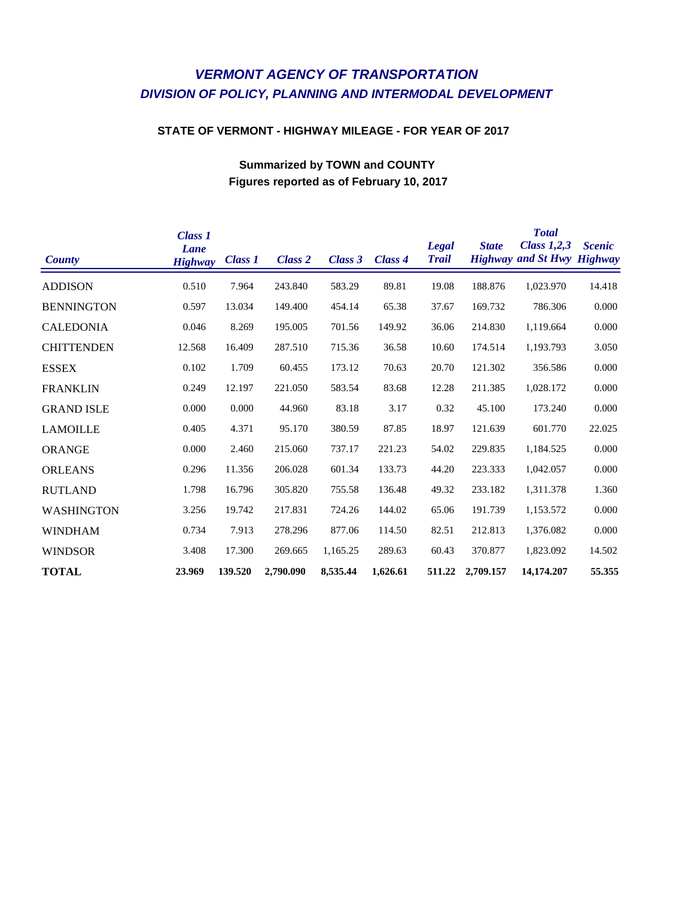### *VERMONT AGENCY OF TRANSPORTATION DIVISION OF POLICY, PLANNING AND INTERMODAL DEVELOPMENT*

#### **STATE OF VERMONT - HIGHWAY MILEAGE - FOR YEAR OF 2017**

| <b>County</b>     | <b>Class 1</b><br>Lane<br><b>Highway</b> | Class 1 | Class 2   | Class 3  | Class 4  | Legal<br><b>Trail</b> | <b>State</b> | <b>Total</b><br>Class $1,2,3$<br><b>Highway and St Hwy Highway</b> | <b>Scenic</b> |
|-------------------|------------------------------------------|---------|-----------|----------|----------|-----------------------|--------------|--------------------------------------------------------------------|---------------|
| <b>ADDISON</b>    | 0.510                                    | 7.964   | 243.840   | 583.29   | 89.81    | 19.08                 | 188.876      | 1,023.970                                                          | 14.418        |
| <b>BENNINGTON</b> | 0.597                                    | 13.034  | 149.400   | 454.14   | 65.38    | 37.67                 | 169.732      | 786.306                                                            | 0.000         |
| <b>CALEDONIA</b>  | 0.046                                    | 8.269   | 195.005   | 701.56   | 149.92   | 36.06                 | 214.830      | 1,119.664                                                          | 0.000         |
| <b>CHITTENDEN</b> | 12.568                                   | 16.409  | 287.510   | 715.36   | 36.58    | 10.60                 | 174.514      | 1,193.793                                                          | 3.050         |
| <b>ESSEX</b>      | 0.102                                    | 1.709   | 60.455    | 173.12   | 70.63    | 20.70                 | 121.302      | 356.586                                                            | 0.000         |
| <b>FRANKLIN</b>   | 0.249                                    | 12.197  | 221.050   | 583.54   | 83.68    | 12.28                 | 211.385      | 1,028.172                                                          | 0.000         |
| <b>GRAND ISLE</b> | 0.000                                    | 0.000   | 44.960    | 83.18    | 3.17     | 0.32                  | 45.100       | 173.240                                                            | 0.000         |
| <b>LAMOILLE</b>   | 0.405                                    | 4.371   | 95.170    | 380.59   | 87.85    | 18.97                 | 121.639      | 601.770                                                            | 22.025        |
| <b>ORANGE</b>     | 0.000                                    | 2.460   | 215.060   | 737.17   | 221.23   | 54.02                 | 229.835      | 1,184.525                                                          | 0.000         |
| <b>ORLEANS</b>    | 0.296                                    | 11.356  | 206.028   | 601.34   | 133.73   | 44.20                 | 223.333      | 1,042.057                                                          | 0.000         |
| <b>RUTLAND</b>    | 1.798                                    | 16.796  | 305.820   | 755.58   | 136.48   | 49.32                 | 233.182      | 1,311.378                                                          | 1.360         |
| <b>WASHINGTON</b> | 3.256                                    | 19.742  | 217.831   | 724.26   | 144.02   | 65.06                 | 191.739      | 1,153.572                                                          | 0.000         |
| <b>WINDHAM</b>    | 0.734                                    | 7.913   | 278.296   | 877.06   | 114.50   | 82.51                 | 212.813      | 1,376.082                                                          | 0.000         |
| <b>WINDSOR</b>    | 3.408                                    | 17.300  | 269.665   | 1,165.25 | 289.63   | 60.43                 | 370.877      | 1,823.092                                                          | 14.502        |
| <b>TOTAL</b>      | 23.969                                   | 139.520 | 2,790.090 | 8,535.44 | 1,626.61 | 511.22                | 2,709.157    | 14,174.207                                                         | 55.355        |

### **Summarized by TOWN and COUNTY Figures reported as of February 10, 2017**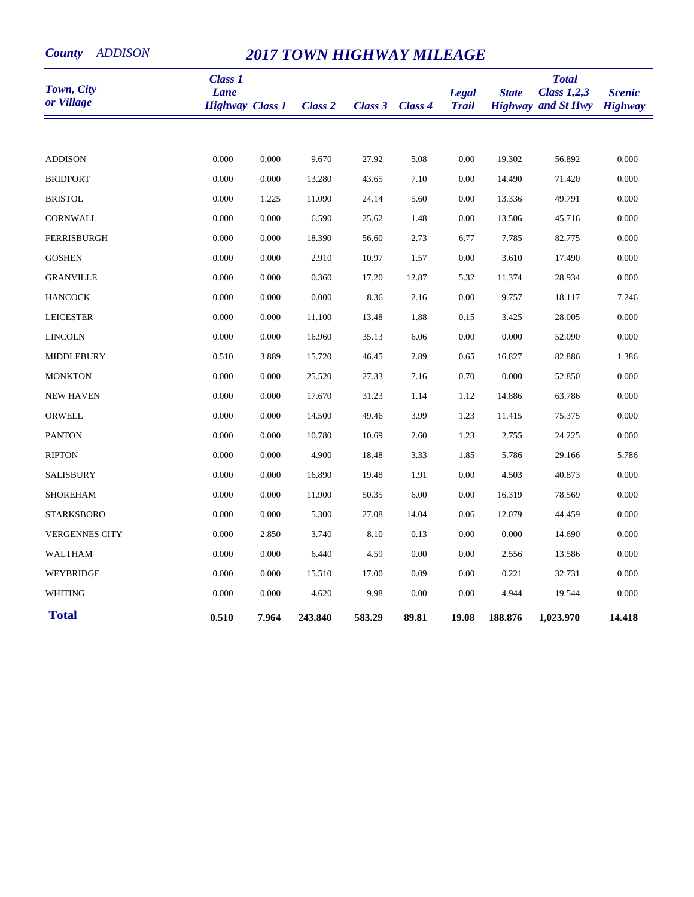### *County ADDISON*

| Town, City<br>or Village | <b>Class 1</b><br><b>Lane</b> |       |         |         |         | <b>Legal</b> | <b>State</b> | <b>Total</b><br>Class $1,2,3$ | <b>Scenic</b> |
|--------------------------|-------------------------------|-------|---------|---------|---------|--------------|--------------|-------------------------------|---------------|
|                          | <b>Highway Class 1</b>        |       | Class 2 | Class 3 | Class 4 | <b>Trail</b> |              | <b>Highway</b> and St Hwy     | Highway       |
|                          |                               |       |         |         |         |              |              |                               |               |
| <b>ADDISON</b>           | 0.000                         | 0.000 | 9.670   | 27.92   | 5.08    | 0.00         | 19.302       | 56.892                        | 0.000         |
| <b>BRIDPORT</b>          | 0.000                         | 0.000 | 13.280  | 43.65   | 7.10    | 0.00         | 14.490       | 71.420                        | 0.000         |
| <b>BRISTOL</b>           | 0.000                         | 1.225 | 11.090  | 24.14   | 5.60    | 0.00         | 13.336       | 49.791                        | 0.000         |
| <b>CORNWALL</b>          | 0.000                         | 0.000 | 6.590   | 25.62   | 1.48    | 0.00         | 13.506       | 45.716                        | 0.000         |
| <b>FERRISBURGH</b>       | 0.000                         | 0.000 | 18.390  | 56.60   | 2.73    | 6.77         | 7.785        | 82.775                        | 0.000         |
| <b>GOSHEN</b>            | 0.000                         | 0.000 | 2.910   | 10.97   | 1.57    | 0.00         | 3.610        | 17.490                        | 0.000         |
| <b>GRANVILLE</b>         | 0.000                         | 0.000 | 0.360   | 17.20   | 12.87   | 5.32         | 11.374       | 28.934                        | 0.000         |
| <b>HANCOCK</b>           | 0.000                         | 0.000 | 0.000   | 8.36    | 2.16    | 0.00         | 9.757        | 18.117                        | 7.246         |
| <b>LEICESTER</b>         | 0.000                         | 0.000 | 11.100  | 13.48   | 1.88    | 0.15         | 3.425        | 28.005                        | 0.000         |
| <b>LINCOLN</b>           | 0.000                         | 0.000 | 16.960  | 35.13   | 6.06    | 0.00         | 0.000        | 52.090                        | 0.000         |
| MIDDLEBURY               | 0.510                         | 3.889 | 15.720  | 46.45   | 2.89    | 0.65         | 16.827       | 82.886                        | 1.386         |
| <b>MONKTON</b>           | 0.000                         | 0.000 | 25.520  | 27.33   | 7.16    | 0.70         | 0.000        | 52.850                        | 0.000         |
| <b>NEW HAVEN</b>         | 0.000                         | 0.000 | 17.670  | 31.23   | 1.14    | 1.12         | 14.886       | 63.786                        | 0.000         |
| ORWELL                   | 0.000                         | 0.000 | 14.500  | 49.46   | 3.99    | 1.23         | 11.415       | 75.375                        | 0.000         |
| <b>PANTON</b>            | 0.000                         | 0.000 | 10.780  | 10.69   | 2.60    | 1.23         | 2.755        | 24.225                        | 0.000         |
| <b>RIPTON</b>            | 0.000                         | 0.000 | 4.900   | 18.48   | 3.33    | 1.85         | 5.786        | 29.166                        | 5.786         |
| <b>SALISBURY</b>         | 0.000                         | 0.000 | 16.890  | 19.48   | 1.91    | 0.00         | 4.503        | 40.873                        | 0.000         |
| <b>SHOREHAM</b>          | 0.000                         | 0.000 | 11.900  | 50.35   | 6.00    | 0.00         | 16.319       | 78.569                        | 0.000         |
| <b>STARKSBORO</b>        | 0.000                         | 0.000 | 5.300   | 27.08   | 14.04   | 0.06         | 12.079       | 44.459                        | 0.000         |
| <b>VERGENNES CITY</b>    | 0.000                         | 2.850 | 3.740   | 8.10    | 0.13    | 0.00         | 0.000        | 14.690                        | 0.000         |
| <b>WALTHAM</b>           | 0.000                         | 0.000 | 6.440   | 4.59    | 0.00    | 0.00         | 2.556        | 13.586                        | 0.000         |
| WEYBRIDGE                | 0.000                         | 0.000 | 15.510  | 17.00   | 0.09    | 0.00         | 0.221        | 32.731                        | 0.000         |
| <b>WHITING</b>           | 0.000                         | 0.000 | 4.620   | 9.98    | 0.00    | 0.00         | 4.944        | 19.544                        | 0.000         |
| <b>Total</b>             | 0.510                         | 7.964 | 243.840 | 583.29  | 89.81   | 19.08        | 188.876      | 1,023.970                     | 14.418        |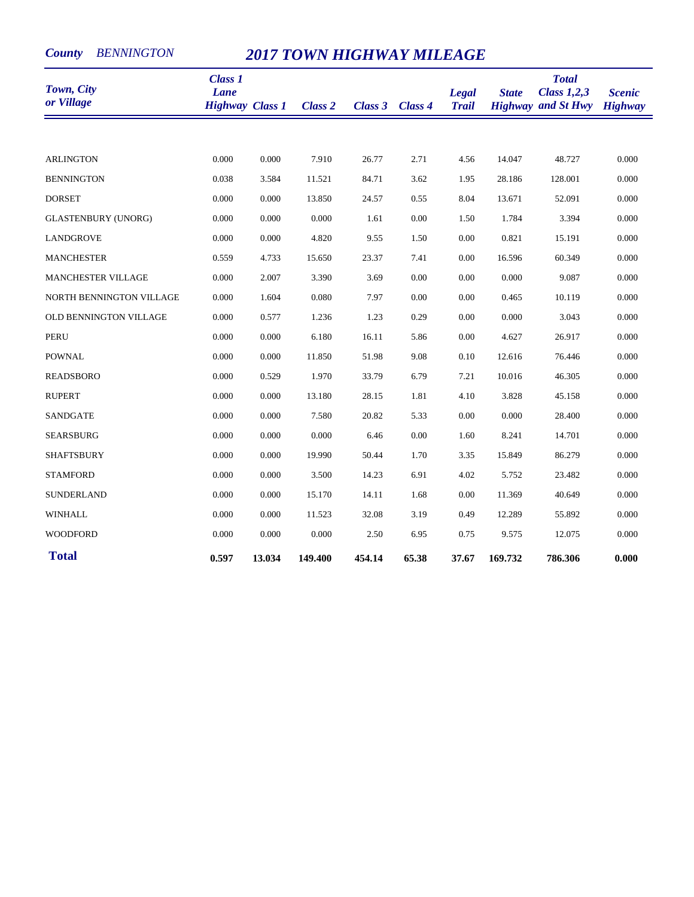#### *County BENNINGTON*

| Town, City<br>or Village      | Class 1<br><b>Lane</b> | <b>Highway Class 1</b> | <b>Class 2</b> | Class 3 | Class 4 | <b>Legal</b><br><b>Trail</b> | <b>State</b> | <b>Total</b><br>Class $1,2,3$<br><b>Highway</b> and St Hwy | <b>Scenic</b><br><b>Highway</b> |
|-------------------------------|------------------------|------------------------|----------------|---------|---------|------------------------------|--------------|------------------------------------------------------------|---------------------------------|
|                               |                        |                        |                |         |         |                              |              |                                                            |                                 |
|                               |                        |                        |                |         |         |                              |              |                                                            |                                 |
| <b>ARLINGTON</b>              | 0.000                  | 0.000                  | 7.910          | 26.77   | 2.71    | 4.56                         | 14.047       | 48.727                                                     | 0.000                           |
| <b>BENNINGTON</b>             | 0.038                  | 3.584                  | 11.521         | 84.71   | 3.62    | 1.95                         | 28.186       | 128.001                                                    | 0.000                           |
| <b>DORSET</b>                 | 0.000                  | 0.000                  | 13.850         | 24.57   | 0.55    | 8.04                         | 13.671       | 52.091                                                     | 0.000                           |
| <b>GLASTENBURY (UNORG)</b>    | 0.000                  | 0.000                  | 0.000          | 1.61    | 0.00    | 1.50                         | 1.784        | 3.394                                                      | 0.000                           |
| LANDGROVE                     | 0.000                  | 0.000                  | 4.820          | 9.55    | 1.50    | 0.00                         | 0.821        | 15.191                                                     | 0.000                           |
| <b>MANCHESTER</b>             | 0.559                  | 4.733                  | 15.650         | 23.37   | 7.41    | 0.00                         | 16.596       | 60.349                                                     | 0.000                           |
| MANCHESTER VILLAGE            | 0.000                  | 2.007                  | 3.390          | 3.69    | 0.00    | 0.00                         | 0.000        | 9.087                                                      | 0.000                           |
| NORTH BENNINGTON VILLAGE      | 0.000                  | 1.604                  | 0.080          | 7.97    | 0.00    | 0.00                         | 0.465        | 10.119                                                     | 0.000                           |
| <b>OLD BENNINGTON VILLAGE</b> | 0.000                  | 0.577                  | 1.236          | 1.23    | 0.29    | 0.00                         | 0.000        | 3.043                                                      | 0.000                           |
| PERU                          | 0.000                  | 0.000                  | 6.180          | 16.11   | 5.86    | 0.00                         | 4.627        | 26.917                                                     | 0.000                           |
| <b>POWNAL</b>                 | 0.000                  | 0.000                  | 11.850         | 51.98   | 9.08    | 0.10                         | 12.616       | 76.446                                                     | 0.000                           |
| <b>READSBORO</b>              | 0.000                  | 0.529                  | 1.970          | 33.79   | 6.79    | 7.21                         | 10.016       | 46.305                                                     | 0.000                           |
| <b>RUPERT</b>                 | 0.000                  | 0.000                  | 13.180         | 28.15   | 1.81    | 4.10                         | 3.828        | 45.158                                                     | 0.000                           |
| <b>SANDGATE</b>               | 0.000                  | 0.000                  | 7.580          | 20.82   | 5.33    | 0.00                         | 0.000        | 28.400                                                     | 0.000                           |
| <b>SEARSBURG</b>              | 0.000                  | 0.000                  | 0.000          | 6.46    | 0.00    | 1.60                         | 8.241        | 14.701                                                     | 0.000                           |
| <b>SHAFTSBURY</b>             | 0.000                  | 0.000                  | 19.990         | 50.44   | 1.70    | 3.35                         | 15.849       | 86.279                                                     | 0.000                           |
| <b>STAMFORD</b>               | 0.000                  | 0.000                  | 3.500          | 14.23   | 6.91    | 4.02                         | 5.752        | 23.482                                                     | 0.000                           |
| <b>SUNDERLAND</b>             | 0.000                  | 0.000                  | 15.170         | 14.11   | 1.68    | 0.00                         | 11.369       | 40.649                                                     | 0.000                           |
| <b>WINHALL</b>                | 0.000                  | 0.000                  | 11.523         | 32.08   | 3.19    | 0.49                         | 12.289       | 55.892                                                     | 0.000                           |
| <b>WOODFORD</b>               | 0.000                  | 0.000                  | 0.000          | 2.50    | 6.95    | 0.75                         | 9.575        | 12.075                                                     | 0.000                           |
| <b>Total</b>                  | 0.597                  | 13.034                 | 149.400        | 454.14  | 65.38   | 37.67                        | 169.732      | 786.306                                                    | 0.000                           |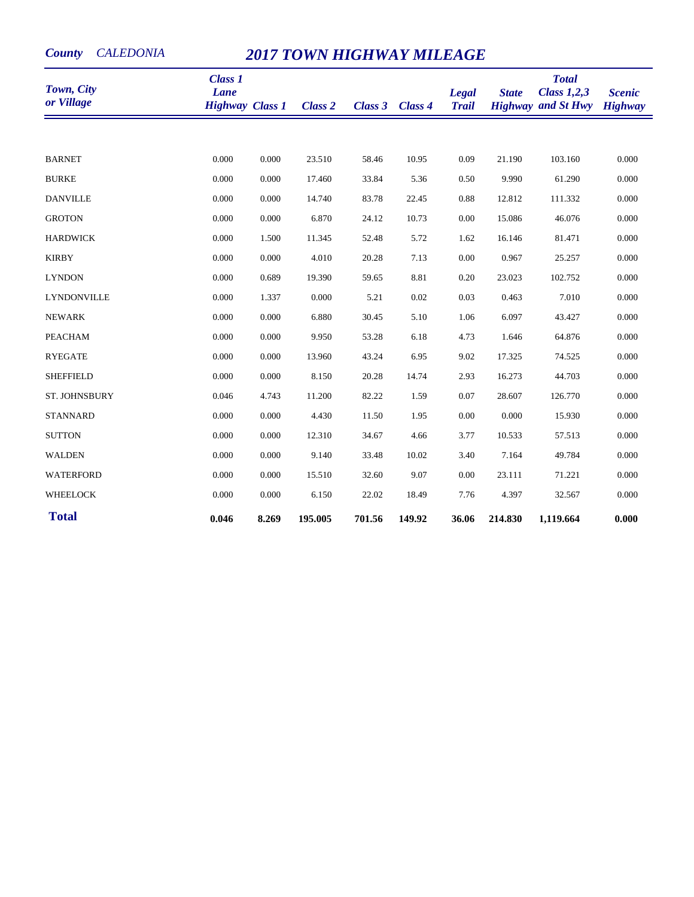### *County CALEDONIA*

| Town, City<br>or Village | <b>Class 1</b><br><b>Lane</b><br><b>Highway Class 1</b> |       | Class <sub>2</sub> | Class 3 | Class 4 | <b>Legal</b><br><b>Trail</b> | <b>State</b> | <b>Total</b><br>Class $1,2,3$<br><b>Highway</b> and St Hwy | <b>Scenic</b><br><b>Highway</b> |
|--------------------------|---------------------------------------------------------|-------|--------------------|---------|---------|------------------------------|--------------|------------------------------------------------------------|---------------------------------|
|                          |                                                         |       |                    |         |         |                              |              |                                                            |                                 |
| <b>BARNET</b>            | 0.000                                                   | 0.000 | 23.510             | 58.46   | 10.95   | 0.09                         | 21.190       | 103.160                                                    | 0.000                           |
| <b>BURKE</b>             | 0.000                                                   | 0.000 | 17.460             | 33.84   | 5.36    | 0.50                         | 9.990        | 61.290                                                     | 0.000                           |
| <b>DANVILLE</b>          | 0.000                                                   | 0.000 | 14.740             | 83.78   | 22.45   | 0.88                         | 12.812       | 111.332                                                    | 0.000                           |
| <b>GROTON</b>            | 0.000                                                   | 0.000 | 6.870              | 24.12   | 10.73   | 0.00                         | 15.086       | 46.076                                                     | 0.000                           |
| <b>HARDWICK</b>          | 0.000                                                   | 1.500 | 11.345             | 52.48   | 5.72    | 1.62                         | 16.146       | 81.471                                                     | 0.000                           |
| <b>KIRBY</b>             | 0.000                                                   | 0.000 | 4.010              | 20.28   | 7.13    | 0.00                         | 0.967        | 25.257                                                     | 0.000                           |
| <b>LYNDON</b>            | 0.000                                                   | 0.689 | 19.390             | 59.65   | 8.81    | 0.20                         | 23.023       | 102.752                                                    | 0.000                           |
| <b>LYNDONVILLE</b>       | 0.000                                                   | 1.337 | 0.000              | 5.21    | 0.02    | 0.03                         | 0.463        | 7.010                                                      | 0.000                           |
| <b>NEWARK</b>            | 0.000                                                   | 0.000 | 6.880              | 30.45   | 5.10    | 1.06                         | 6.097        | 43.427                                                     | 0.000                           |
| <b>PEACHAM</b>           | 0.000                                                   | 0.000 | 9.950              | 53.28   | 6.18    | 4.73                         | 1.646        | 64.876                                                     | 0.000                           |
| <b>RYEGATE</b>           | 0.000                                                   | 0.000 | 13.960             | 43.24   | 6.95    | 9.02                         | 17.325       | 74.525                                                     | 0.000                           |
| <b>SHEFFIELD</b>         | 0.000                                                   | 0.000 | 8.150              | 20.28   | 14.74   | 2.93                         | 16.273       | 44.703                                                     | 0.000                           |
| ST. JOHNSBURY            | 0.046                                                   | 4.743 | 11.200             | 82.22   | 1.59    | 0.07                         | 28.607       | 126.770                                                    | 0.000                           |
| <b>STANNARD</b>          | 0.000                                                   | 0.000 | 4.430              | 11.50   | 1.95    | 0.00                         | 0.000        | 15.930                                                     | 0.000                           |
| <b>SUTTON</b>            | 0.000                                                   | 0.000 | 12.310             | 34.67   | 4.66    | 3.77                         | 10.533       | 57.513                                                     | 0.000                           |
| <b>WALDEN</b>            | 0.000                                                   | 0.000 | 9.140              | 33.48   | 10.02   | 3.40                         | 7.164        | 49.784                                                     | 0.000                           |
| <b>WATERFORD</b>         | 0.000                                                   | 0.000 | 15.510             | 32.60   | 9.07    | 0.00                         | 23.111       | 71.221                                                     | 0.000                           |
| <b>WHEELOCK</b>          | 0.000                                                   | 0.000 | 6.150              | 22.02   | 18.49   | 7.76                         | 4.397        | 32.567                                                     | 0.000                           |
| <b>Total</b>             | 0.046                                                   | 8.269 | 195.005            | 701.56  | 149.92  | 36.06                        | 214.830      | 1,119.664                                                  | 0.000                           |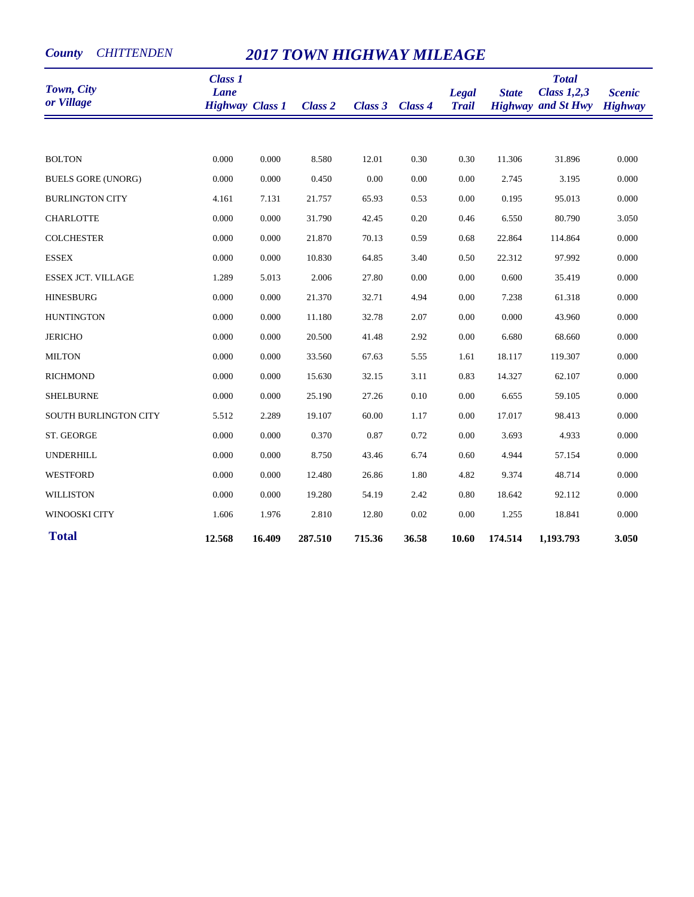### *County CHITTENDEN*

| Town, City<br>or Village  | <b>Class 1</b><br>Lane | <b>Highway Class 1</b> | Class 2 | Class 3 | Class 4 | <b>Legal</b><br><b>Trail</b> | <b>State</b> | <b>Total</b><br>Class $1,2,3$<br><b>Highway</b> and St Hwy | <b>Scenic</b><br><b>Highway</b> |
|---------------------------|------------------------|------------------------|---------|---------|---------|------------------------------|--------------|------------------------------------------------------------|---------------------------------|
|                           |                        |                        |         |         |         |                              |              |                                                            |                                 |
| <b>BOLTON</b>             | 0.000                  | 0.000                  | 8.580   | 12.01   | 0.30    | 0.30                         | 11.306       | 31.896                                                     | 0.000                           |
| <b>BUELS GORE (UNORG)</b> | 0.000                  | 0.000                  | 0.450   | 0.00    | 0.00    | 0.00                         | 2.745        | 3.195                                                      | 0.000                           |
| <b>BURLINGTON CITY</b>    | 4.161                  | 7.131                  | 21.757  | 65.93   | 0.53    | 0.00                         | 0.195        | 95.013                                                     | 0.000                           |
| <b>CHARLOTTE</b>          | 0.000                  | 0.000                  | 31.790  | 42.45   | 0.20    | 0.46                         | 6.550        | 80.790                                                     | 3.050                           |
| <b>COLCHESTER</b>         | 0.000                  | 0.000                  | 21.870  | 70.13   | 0.59    | 0.68                         | 22.864       | 114.864                                                    | 0.000                           |
| <b>ESSEX</b>              | 0.000                  | 0.000                  | 10.830  | 64.85   | 3.40    | 0.50                         | 22.312       | 97.992                                                     | 0.000                           |
| <b>ESSEX JCT. VILLAGE</b> | 1.289                  | 5.013                  | 2.006   | 27.80   | 0.00    | 0.00                         | 0.600        | 35.419                                                     | 0.000                           |
| <b>HINESBURG</b>          | 0.000                  | 0.000                  | 21.370  | 32.71   | 4.94    | 0.00                         | 7.238        | 61.318                                                     | 0.000                           |
| <b>HUNTINGTON</b>         | 0.000                  | 0.000                  | 11.180  | 32.78   | 2.07    | 0.00                         | 0.000        | 43.960                                                     | 0.000                           |
| <b>JERICHO</b>            | 0.000                  | 0.000                  | 20.500  | 41.48   | 2.92    | 0.00                         | 6.680        | 68.660                                                     | 0.000                           |
| <b>MILTON</b>             | 0.000                  | 0.000                  | 33.560  | 67.63   | 5.55    | 1.61                         | 18.117       | 119.307                                                    | 0.000                           |
| <b>RICHMOND</b>           | 0.000                  | 0.000                  | 15.630  | 32.15   | 3.11    | 0.83                         | 14.327       | 62.107                                                     | 0.000                           |
| <b>SHELBURNE</b>          | 0.000                  | 0.000                  | 25.190  | 27.26   | 0.10    | 0.00                         | 6.655        | 59.105                                                     | 0.000                           |
| SOUTH BURLINGTON CITY     | 5.512                  | 2.289                  | 19.107  | 60.00   | 1.17    | 0.00                         | 17.017       | 98.413                                                     | 0.000                           |
| ST. GEORGE                | 0.000                  | 0.000                  | 0.370   | 0.87    | 0.72    | 0.00                         | 3.693        | 4.933                                                      | 0.000                           |
| <b>UNDERHILL</b>          | 0.000                  | 0.000                  | 8.750   | 43.46   | 6.74    | 0.60                         | 4.944        | 57.154                                                     | 0.000                           |
| <b>WESTFORD</b>           | 0.000                  | 0.000                  | 12.480  | 26.86   | 1.80    | 4.82                         | 9.374        | 48.714                                                     | 0.000                           |
| <b>WILLISTON</b>          | 0.000                  | 0.000                  | 19.280  | 54.19   | 2.42    | 0.80                         | 18.642       | 92.112                                                     | 0.000                           |
| WINOOSKI CITY             | 1.606                  | 1.976                  | 2.810   | 12.80   | 0.02    | 0.00                         | 1.255        | 18.841                                                     | 0.000                           |
| <b>Total</b>              | 12.568                 | 16.409                 | 287.510 | 715.36  | 36.58   | 10.60                        | 174.514      | 1,193.793                                                  | 3.050                           |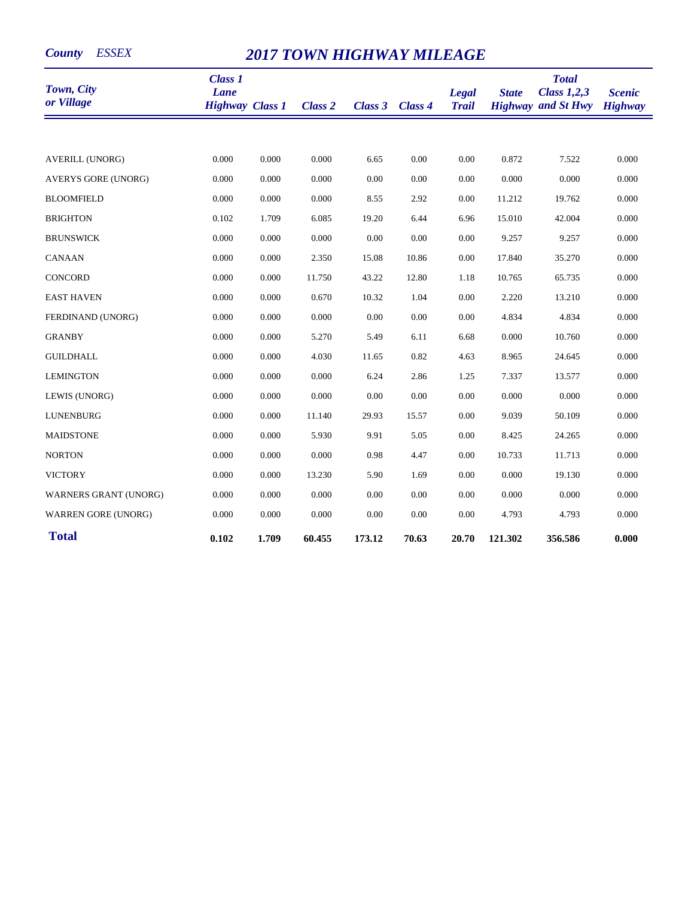#### *County ESSEX*

| Town, City                 | Class 1                        |       |         |         |         |                              |              | <b>Total</b>                               |                                 |
|----------------------------|--------------------------------|-------|---------|---------|---------|------------------------------|--------------|--------------------------------------------|---------------------------------|
| or Village                 | Lane<br><b>Highway Class 1</b> |       | Class 2 | Class 3 | Class 4 | <b>Legal</b><br><b>Trail</b> | <b>State</b> | Class $1,2,3$<br><b>Highway</b> and St Hwy | <b>Scenic</b><br><b>Highway</b> |
|                            |                                |       |         |         |         |                              |              |                                            |                                 |
| <b>AVERILL (UNORG)</b>     | 0.000                          | 0.000 | 0.000   | 6.65    | 0.00    | 0.00                         | 0.872        | 7.522                                      | 0.000                           |
| <b>AVERYS GORE (UNORG)</b> | 0.000                          | 0.000 | 0.000   | 0.00    | 0.00    | 0.00                         | 0.000        | 0.000                                      | 0.000                           |
| <b>BLOOMFIELD</b>          | 0.000                          | 0.000 | 0.000   | 8.55    | 2.92    | 0.00                         | 11.212       | 19.762                                     | 0.000                           |
| <b>BRIGHTON</b>            | 0.102                          | 1.709 | 6.085   | 19.20   | 6.44    | 6.96                         | 15.010       | 42.004                                     | 0.000                           |
| <b>BRUNSWICK</b>           | 0.000                          | 0.000 | 0.000   | 0.00    | 0.00    | 0.00                         | 9.257        | 9.257                                      | 0.000                           |
| <b>CANAAN</b>              | 0.000                          | 0.000 | 2.350   | 15.08   | 10.86   | 0.00                         | 17.840       | 35.270                                     | 0.000                           |
| <b>CONCORD</b>             | 0.000                          | 0.000 | 11.750  | 43.22   | 12.80   | 1.18                         | 10.765       | 65.735                                     | 0.000                           |
| <b>EAST HAVEN</b>          | 0.000                          | 0.000 | 0.670   | 10.32   | 1.04    | 0.00                         | 2.220        | 13.210                                     | 0.000                           |
| FERDINAND (UNORG)          | 0.000                          | 0.000 | 0.000   | 0.00    | 0.00    | 0.00                         | 4.834        | 4.834                                      | 0.000                           |
| <b>GRANBY</b>              | 0.000                          | 0.000 | 5.270   | 5.49    | 6.11    | 6.68                         | 0.000        | 10.760                                     | 0.000                           |
| <b>GUILDHALL</b>           | 0.000                          | 0.000 | 4.030   | 11.65   | 0.82    | 4.63                         | 8.965        | 24.645                                     | 0.000                           |
| <b>LEMINGTON</b>           | 0.000                          | 0.000 | 0.000   | 6.24    | 2.86    | 1.25                         | 7.337        | 13.577                                     | 0.000                           |
| LEWIS (UNORG)              | 0.000                          | 0.000 | 0.000   | 0.00    | 0.00    | 0.00                         | 0.000        | 0.000                                      | 0.000                           |
| LUNENBURG                  | 0.000                          | 0.000 | 11.140  | 29.93   | 15.57   | 0.00                         | 9.039        | 50.109                                     | 0.000                           |
| <b>MAIDSTONE</b>           | 0.000                          | 0.000 | 5.930   | 9.91    | 5.05    | 0.00                         | 8.425        | 24.265                                     | 0.000                           |
| <b>NORTON</b>              | 0.000                          | 0.000 | 0.000   | 0.98    | 4.47    | 0.00                         | 10.733       | 11.713                                     | 0.000                           |
| <b>VICTORY</b>             | 0.000                          | 0.000 | 13.230  | 5.90    | 1.69    | 0.00                         | 0.000        | 19.130                                     | 0.000                           |
| WARNERS GRANT (UNORG)      | 0.000                          | 0.000 | 0.000   | 0.00    | 0.00    | 0.00                         | 0.000        | 0.000                                      | 0.000                           |
| WARREN GORE (UNORG)        | 0.000                          | 0.000 | 0.000   | 0.00    | 0.00    | 0.00                         | 4.793        | 4.793                                      | 0.000                           |
| <b>Total</b>               | 0.102                          | 1.709 | 60.455  | 173.12  | 70.63   | 20.70                        | 121.302      | 356.586                                    | 0.000                           |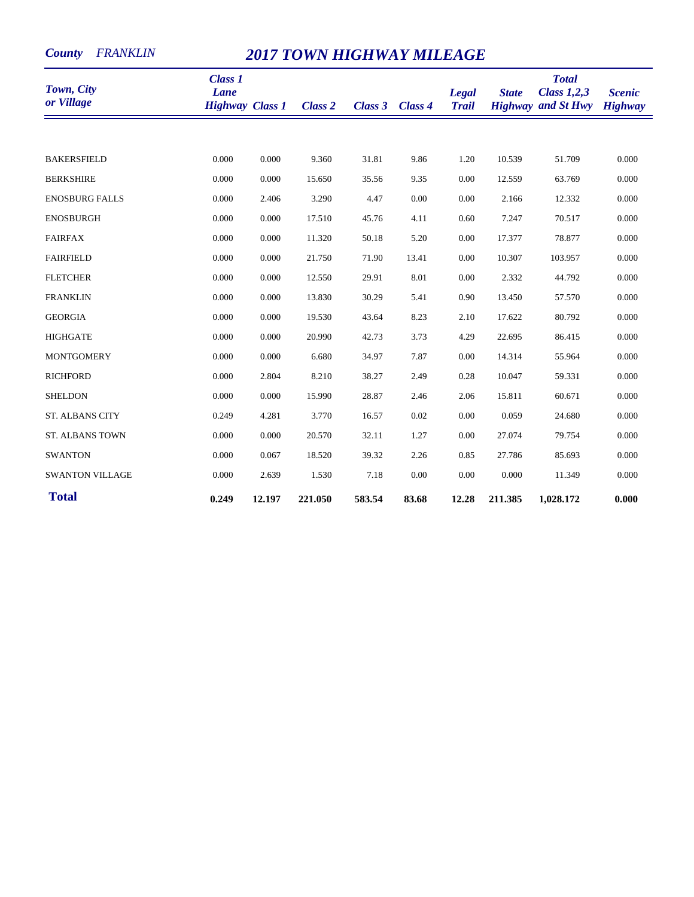### *County FRANKLIN*

| Town, City<br>or Village | <b>Class 1</b><br>Lane<br><b>Highway Class 1</b> |        | Class 2 | Class 3 | Class 4 | <b>Legal</b><br><b>Trail</b> | <b>State</b> | <b>Total</b><br><b>Class 1,2,3</b><br><b>Highway</b> and St Hwy | <b>Scenic</b><br><b>Highway</b> |
|--------------------------|--------------------------------------------------|--------|---------|---------|---------|------------------------------|--------------|-----------------------------------------------------------------|---------------------------------|
|                          |                                                  |        |         |         |         |                              |              |                                                                 |                                 |
| <b>BAKERSFIELD</b>       | 0.000                                            | 0.000  | 9.360   | 31.81   | 9.86    | 1.20                         | 10.539       | 51.709                                                          | 0.000                           |
| <b>BERKSHIRE</b>         | 0.000                                            | 0.000  | 15.650  | 35.56   | 9.35    | 0.00                         | 12.559       | 63.769                                                          | 0.000                           |
| <b>ENOSBURG FALLS</b>    | 0.000                                            | 2.406  | 3.290   | 4.47    | 0.00    | 0.00                         | 2.166        | 12.332                                                          | 0.000                           |
| <b>ENOSBURGH</b>         | 0.000                                            | 0.000  | 17.510  | 45.76   | 4.11    | 0.60                         | 7.247        | 70.517                                                          | 0.000                           |
| <b>FAIRFAX</b>           | 0.000                                            | 0.000  | 11.320  | 50.18   | 5.20    | 0.00                         | 17.377       | 78.877                                                          | 0.000                           |
| <b>FAIRFIELD</b>         | 0.000                                            | 0.000  | 21.750  | 71.90   | 13.41   | 0.00                         | 10.307       | 103.957                                                         | 0.000                           |
| <b>FLETCHER</b>          | 0.000                                            | 0.000  | 12.550  | 29.91   | 8.01    | 0.00                         | 2.332        | 44.792                                                          | 0.000                           |
| <b>FRANKLIN</b>          | 0.000                                            | 0.000  | 13.830  | 30.29   | 5.41    | 0.90                         | 13.450       | 57.570                                                          | 0.000                           |
| <b>GEORGIA</b>           | 0.000                                            | 0.000  | 19.530  | 43.64   | 8.23    | 2.10                         | 17.622       | 80.792                                                          | 0.000                           |
| <b>HIGHGATE</b>          | 0.000                                            | 0.000  | 20.990  | 42.73   | 3.73    | 4.29                         | 22.695       | 86.415                                                          | 0.000                           |
| <b>MONTGOMERY</b>        | 0.000                                            | 0.000  | 6.680   | 34.97   | 7.87    | 0.00                         | 14.314       | 55.964                                                          | 0.000                           |
| <b>RICHFORD</b>          | 0.000                                            | 2.804  | 8.210   | 38.27   | 2.49    | 0.28                         | 10.047       | 59.331                                                          | 0.000                           |
| <b>SHELDON</b>           | 0.000                                            | 0.000  | 15.990  | 28.87   | 2.46    | 2.06                         | 15.811       | 60.671                                                          | 0.000                           |
| <b>ST. ALBANS CITY</b>   | 0.249                                            | 4.281  | 3.770   | 16.57   | 0.02    | 0.00                         | 0.059        | 24.680                                                          | 0.000                           |
| <b>ST. ALBANS TOWN</b>   | 0.000                                            | 0.000  | 20.570  | 32.11   | 1.27    | 0.00                         | 27.074       | 79.754                                                          | 0.000                           |
| <b>SWANTON</b>           | 0.000                                            | 0.067  | 18.520  | 39.32   | 2.26    | 0.85                         | 27.786       | 85.693                                                          | 0.000                           |
| <b>SWANTON VILLAGE</b>   | 0.000                                            | 2.639  | 1.530   | 7.18    | 0.00    | 0.00                         | 0.000        | 11.349                                                          | 0.000                           |
| <b>Total</b>             | 0.249                                            | 12.197 | 221.050 | 583.54  | 83.68   | 12.28                        | 211.385      | 1,028.172                                                       | 0.000                           |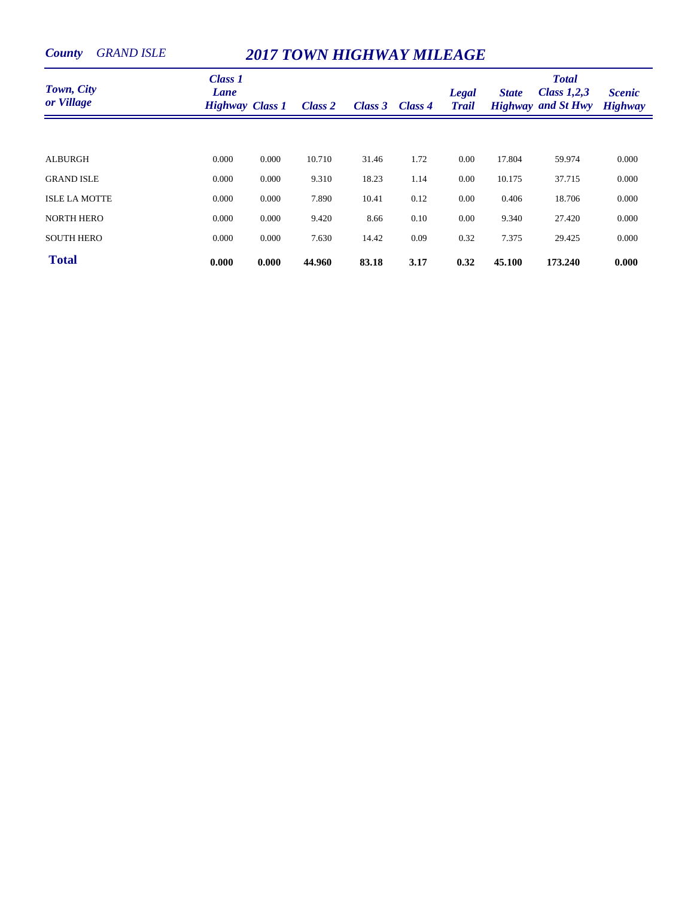*County GRAND ISLE*

| Town, City<br>or Village | Class 1<br>Lane<br><b>Highway Class 1</b> |       | Class 2 | Class 3 Class 4 |      | Legal<br><b>Trail</b> | <b>State</b> | <b>T</b> otal<br>Class $1,2,3$<br><b>Highway</b> and St Hwy | <b>Scenic</b><br>Highway |
|--------------------------|-------------------------------------------|-------|---------|-----------------|------|-----------------------|--------------|-------------------------------------------------------------|--------------------------|
|                          |                                           |       |         |                 |      |                       |              |                                                             |                          |
| <b>ALBURGH</b>           | 0.000                                     | 0.000 | 10.710  | 31.46           | 1.72 | 0.00                  | 17.804       | 59.974                                                      | 0.000                    |
| <b>GRAND ISLE</b>        | 0.000                                     | 0.000 | 9.310   | 18.23           | 1.14 | 0.00                  | 10.175       | 37.715                                                      | 0.000                    |
| <b>ISLE LA MOTTE</b>     | 0.000                                     | 0.000 | 7.890   | 10.41           | 0.12 | 0.00                  | 0.406        | 18.706                                                      | 0.000                    |
| <b>NORTH HERO</b>        | 0.000                                     | 0.000 | 9.420   | 8.66            | 0.10 | 0.00                  | 9.340        | 27.420                                                      | 0.000                    |
| <b>SOUTH HERO</b>        | 0.000                                     | 0.000 | 7.630   | 14.42           | 0.09 | 0.32                  | 7.375        | 29.425                                                      | 0.000                    |
| <b>Total</b>             | 0.000                                     | 0.000 | 44.960  | 83.18           | 3.17 | 0.32                  | 45.100       | 173.240                                                     | 0.000                    |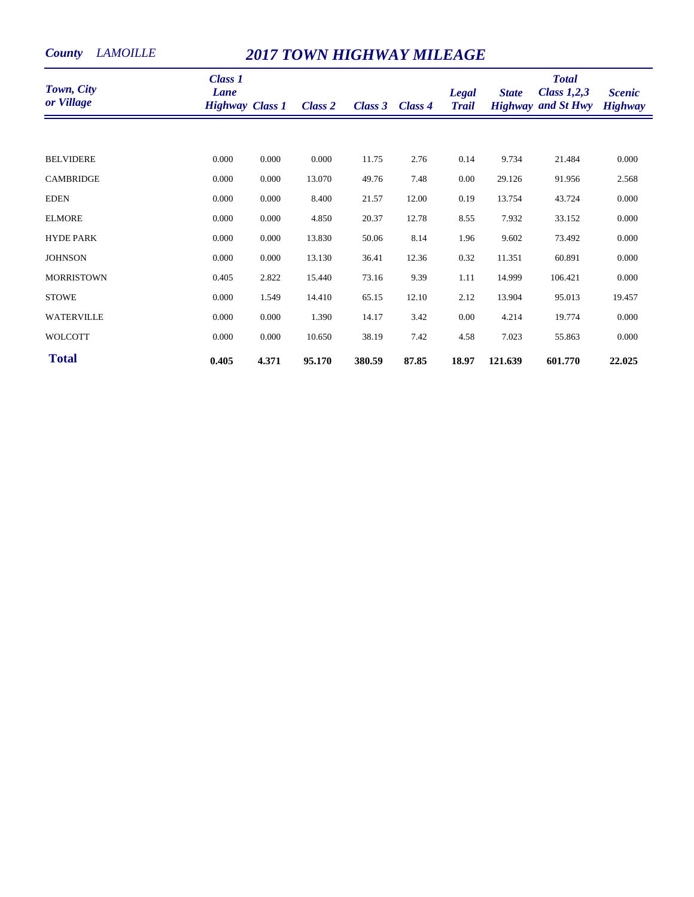*County LAMOILLE*

| Town, City<br>or Village | Class 1<br>Lane<br><b>Highway Class 1</b> |       | Class 2 | Class 3 | Class 4 | Legal<br><b>Trail</b> | <b>State</b> | <b>Total</b><br>Class $1,2,3$<br><b>Highway</b> and St Hwy | <b>Scenic</b><br><b>Highway</b> |
|--------------------------|-------------------------------------------|-------|---------|---------|---------|-----------------------|--------------|------------------------------------------------------------|---------------------------------|
|                          |                                           |       |         |         |         |                       |              |                                                            |                                 |
| <b>BELVIDERE</b>         | 0.000                                     | 0.000 | 0.000   | 11.75   | 2.76    | 0.14                  | 9.734        | 21.484                                                     | 0.000                           |
| <b>CAMBRIDGE</b>         | 0.000                                     | 0.000 | 13.070  | 49.76   | 7.48    | 0.00                  | 29.126       | 91.956                                                     | 2.568                           |
| <b>EDEN</b>              | 0.000                                     | 0.000 | 8.400   | 21.57   | 12.00   | 0.19                  | 13.754       | 43.724                                                     | 0.000                           |
| <b>ELMORE</b>            | 0.000                                     | 0.000 | 4.850   | 20.37   | 12.78   | 8.55                  | 7.932        | 33.152                                                     | 0.000                           |
| <b>HYDE PARK</b>         | 0.000                                     | 0.000 | 13.830  | 50.06   | 8.14    | 1.96                  | 9.602        | 73.492                                                     | 0.000                           |
| <b>JOHNSON</b>           | 0.000                                     | 0.000 | 13.130  | 36.41   | 12.36   | 0.32                  | 11.351       | 60.891                                                     | 0.000                           |
| <b>MORRISTOWN</b>        | 0.405                                     | 2.822 | 15.440  | 73.16   | 9.39    | 1.11                  | 14.999       | 106.421                                                    | 0.000                           |
| <b>STOWE</b>             | 0.000                                     | 1.549 | 14.410  | 65.15   | 12.10   | 2.12                  | 13.904       | 95.013                                                     | 19.457                          |
| <b>WATERVILLE</b>        | 0.000                                     | 0.000 | 1.390   | 14.17   | 3.42    | 0.00                  | 4.214        | 19.774                                                     | 0.000                           |
| <b>WOLCOTT</b>           | 0.000                                     | 0.000 | 10.650  | 38.19   | 7.42    | 4.58                  | 7.023        | 55.863                                                     | 0.000                           |
| <b>Total</b>             | 0.405                                     | 4.371 | 95.170  | 380.59  | 87.85   | 18.97                 | 121.639      | 601.770                                                    | 22.025                          |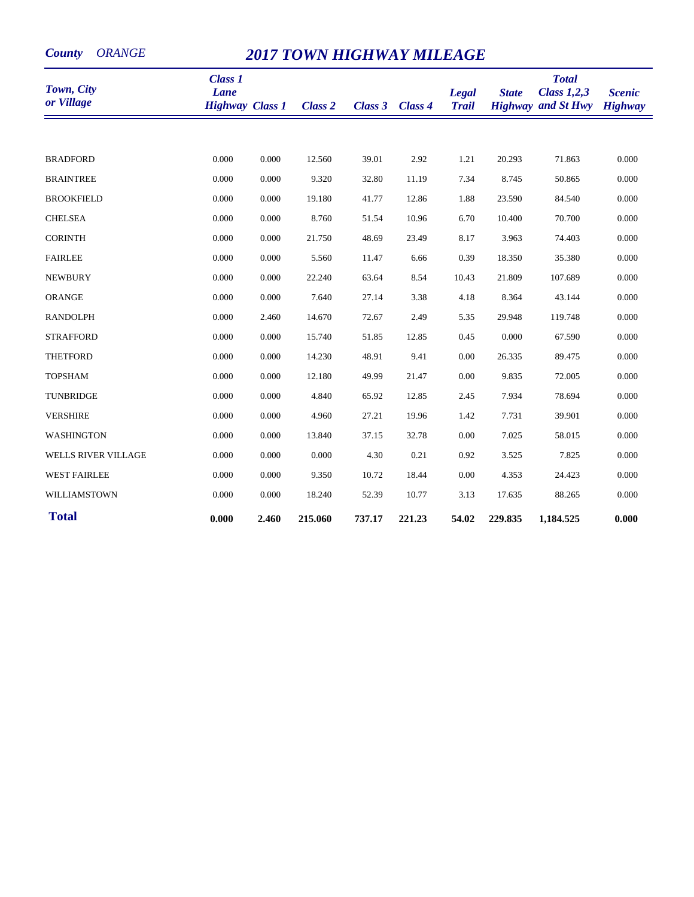### *County ORANGE*

| Town, City<br>or Village | <b>Class 1</b><br>Lane<br><b>Highway Class 1</b> |       | Class 2 | Class 3 | Class 4 | <b>Legal</b><br><b>Trail</b> | <b>State</b> | <b>Total</b><br>Class $1,2,3$<br><b>Highway</b> and St Hwy | <b>Scenic</b><br><b>Highway</b> |
|--------------------------|--------------------------------------------------|-------|---------|---------|---------|------------------------------|--------------|------------------------------------------------------------|---------------------------------|
|                          |                                                  |       |         |         |         |                              |              |                                                            |                                 |
| <b>BRADFORD</b>          | 0.000                                            | 0.000 | 12.560  | 39.01   | 2.92    | 1.21                         | 20.293       | 71.863                                                     | 0.000                           |
| <b>BRAINTREE</b>         | 0.000                                            | 0.000 | 9.320   | 32.80   | 11.19   | 7.34                         | 8.745        | 50.865                                                     | 0.000                           |
| <b>BROOKFIELD</b>        | 0.000                                            | 0.000 | 19.180  | 41.77   | 12.86   | 1.88                         | 23.590       | 84.540                                                     | 0.000                           |
| <b>CHELSEA</b>           | 0.000                                            | 0.000 | 8.760   | 51.54   | 10.96   | 6.70                         | 10.400       | 70.700                                                     | 0.000                           |
| <b>CORINTH</b>           | 0.000                                            | 0.000 | 21.750  | 48.69   | 23.49   | 8.17                         | 3.963        | 74.403                                                     | 0.000                           |
| <b>FAIRLEE</b>           | 0.000                                            | 0.000 | 5.560   | 11.47   | 6.66    | 0.39                         | 18.350       | 35.380                                                     | 0.000                           |
| <b>NEWBURY</b>           | 0.000                                            | 0.000 | 22.240  | 63.64   | 8.54    | 10.43                        | 21.809       | 107.689                                                    | 0.000                           |
| <b>ORANGE</b>            | 0.000                                            | 0.000 | 7.640   | 27.14   | 3.38    | 4.18                         | 8.364        | 43.144                                                     | 0.000                           |
| <b>RANDOLPH</b>          | 0.000                                            | 2.460 | 14.670  | 72.67   | 2.49    | 5.35                         | 29.948       | 119.748                                                    | 0.000                           |
| <b>STRAFFORD</b>         | 0.000                                            | 0.000 | 15.740  | 51.85   | 12.85   | 0.45                         | 0.000        | 67.590                                                     | 0.000                           |
| <b>THETFORD</b>          | 0.000                                            | 0.000 | 14.230  | 48.91   | 9.41    | 0.00                         | 26.335       | 89.475                                                     | 0.000                           |
| <b>TOPSHAM</b>           | 0.000                                            | 0.000 | 12.180  | 49.99   | 21.47   | 0.00                         | 9.835        | 72.005                                                     | 0.000                           |
| <b>TUNBRIDGE</b>         | 0.000                                            | 0.000 | 4.840   | 65.92   | 12.85   | 2.45                         | 7.934        | 78.694                                                     | 0.000                           |
| <b>VERSHIRE</b>          | 0.000                                            | 0.000 | 4.960   | 27.21   | 19.96   | 1.42                         | 7.731        | 39.901                                                     | 0.000                           |
| <b>WASHINGTON</b>        | 0.000                                            | 0.000 | 13.840  | 37.15   | 32.78   | 0.00                         | 7.025        | 58.015                                                     | 0.000                           |
| WELLS RIVER VILLAGE      | 0.000                                            | 0.000 | 0.000   | 4.30    | 0.21    | 0.92                         | 3.525        | 7.825                                                      | 0.000                           |
| <b>WEST FAIRLEE</b>      | 0.000                                            | 0.000 | 9.350   | 10.72   | 18.44   | 0.00                         | 4.353        | 24.423                                                     | 0.000                           |
| WILLIAMSTOWN             | 0.000                                            | 0.000 | 18.240  | 52.39   | 10.77   | 3.13                         | 17.635       | 88.265                                                     | 0.000                           |
| <b>Total</b>             | 0.000                                            | 2.460 | 215.060 | 737.17  | 221.23  | 54.02                        | 229.835      | 1,184.525                                                  | 0.000                           |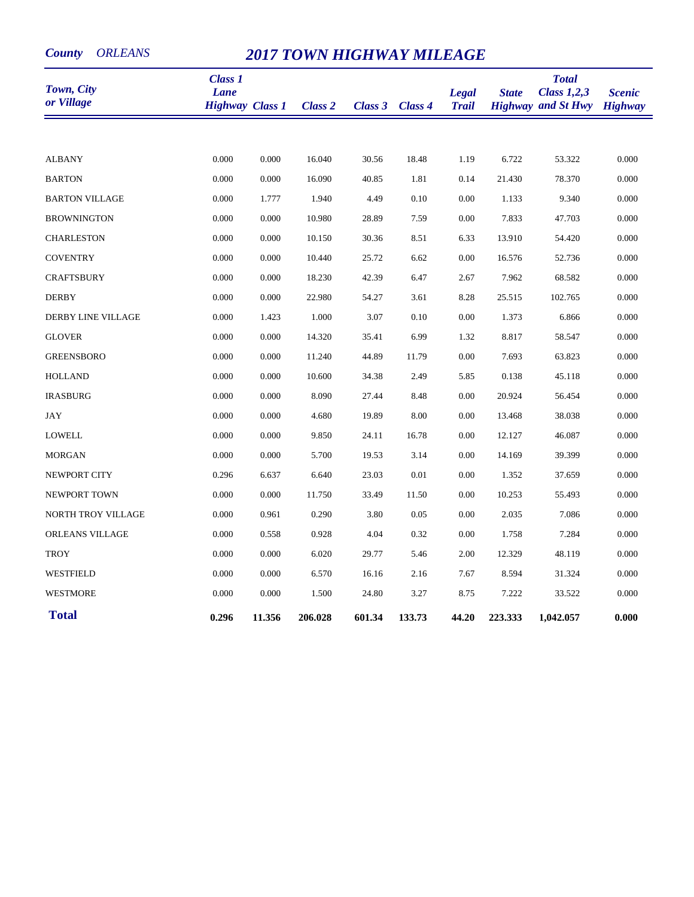### *County ORLEANS*

| Town, City            | <b>Class 1</b><br><b>Lane</b> |        |         |         |         | <b>Legal</b> | <b>State</b> | <b>Total</b><br><b>Class 1,2,3</b> | <b>Scenic</b>  |
|-----------------------|-------------------------------|--------|---------|---------|---------|--------------|--------------|------------------------------------|----------------|
| or Village            | <b>Highway Class 1</b>        |        | Class 2 | Class 3 | Class 4 | <b>Trail</b> |              | <b>Highway</b> and St Hwy          | <b>Highway</b> |
|                       |                               |        |         |         |         |              |              |                                    |                |
| <b>ALBANY</b>         | 0.000                         | 0.000  | 16.040  | 30.56   | 18.48   | 1.19         | 6.722        | 53.322                             | 0.000          |
| <b>BARTON</b>         | 0.000                         | 0.000  | 16.090  | 40.85   | 1.81    | 0.14         | 21.430       | 78.370                             | 0.000          |
| <b>BARTON VILLAGE</b> | 0.000                         | 1.777  | 1.940   | 4.49    | 0.10    | 0.00         | 1.133        | 9.340                              | 0.000          |
| <b>BROWNINGTON</b>    | 0.000                         | 0.000  | 10.980  | 28.89   | 7.59    | 0.00         | 7.833        | 47.703                             | 0.000          |
| <b>CHARLESTON</b>     | 0.000                         | 0.000  | 10.150  | 30.36   | 8.51    | 6.33         | 13.910       | 54.420                             | 0.000          |
| <b>COVENTRY</b>       | 0.000                         | 0.000  | 10.440  | 25.72   | 6.62    | 0.00         | 16.576       | 52.736                             | 0.000          |
| <b>CRAFTSBURY</b>     | 0.000                         | 0.000  | 18.230  | 42.39   | 6.47    | 2.67         | 7.962        | 68.582                             | 0.000          |
| <b>DERBY</b>          | 0.000                         | 0.000  | 22.980  | 54.27   | 3.61    | 8.28         | 25.515       | 102.765                            | 0.000          |
| DERBY LINE VILLAGE    | 0.000                         | 1.423  | 1.000   | 3.07    | 0.10    | 0.00         | 1.373        | 6.866                              | 0.000          |
| <b>GLOVER</b>         | 0.000                         | 0.000  | 14.320  | 35.41   | 6.99    | 1.32         | 8.817        | 58.547                             | 0.000          |
| <b>GREENSBORO</b>     | 0.000                         | 0.000  | 11.240  | 44.89   | 11.79   | 0.00         | 7.693        | 63.823                             | 0.000          |
| <b>HOLLAND</b>        | 0.000                         | 0.000  | 10.600  | 34.38   | 2.49    | 5.85         | 0.138        | 45.118                             | 0.000          |
| <b>IRASBURG</b>       | 0.000                         | 0.000  | 8.090   | 27.44   | 8.48    | 0.00         | 20.924       | 56.454                             | 0.000          |
| JAY                   | 0.000                         | 0.000  | 4.680   | 19.89   | 8.00    | 0.00         | 13.468       | 38.038                             | 0.000          |
| <b>LOWELL</b>         | 0.000                         | 0.000  | 9.850   | 24.11   | 16.78   | 0.00         | 12.127       | 46.087                             | 0.000          |
| <b>MORGAN</b>         | 0.000                         | 0.000  | 5.700   | 19.53   | 3.14    | 0.00         | 14.169       | 39.399                             | 0.000          |
| NEWPORT CITY          | 0.296                         | 6.637  | 6.640   | 23.03   | 0.01    | 0.00         | 1.352        | 37.659                             | 0.000          |
| NEWPORT TOWN          | 0.000                         | 0.000  | 11.750  | 33.49   | 11.50   | 0.00         | 10.253       | 55.493                             | 0.000          |
| NORTH TROY VILLAGE    | 0.000                         | 0.961  | 0.290   | 3.80    | 0.05    | 0.00         | 2.035        | 7.086                              | 0.000          |
| ORLEANS VILLAGE       | 0.000                         | 0.558  | 0.928   | 4.04    | 0.32    | 0.00         | 1.758        | 7.284                              | 0.000          |
| <b>TROY</b>           | 0.000                         | 0.000  | 6.020   | 29.77   | 5.46    | 2.00         | 12.329       | 48.119                             | 0.000          |
| <b>WESTFIELD</b>      | 0.000                         | 0.000  | 6.570   | 16.16   | 2.16    | 7.67         | 8.594        | 31.324                             | 0.000          |
| <b>WESTMORE</b>       | 0.000                         | 0.000  | 1.500   | 24.80   | 3.27    | 8.75         | 7.222        | 33.522                             | 0.000          |
| <b>Total</b>          | 0.296                         | 11.356 | 206.028 | 601.34  | 133.73  | 44.20        | 223.333      | 1,042.057                          | 0.000          |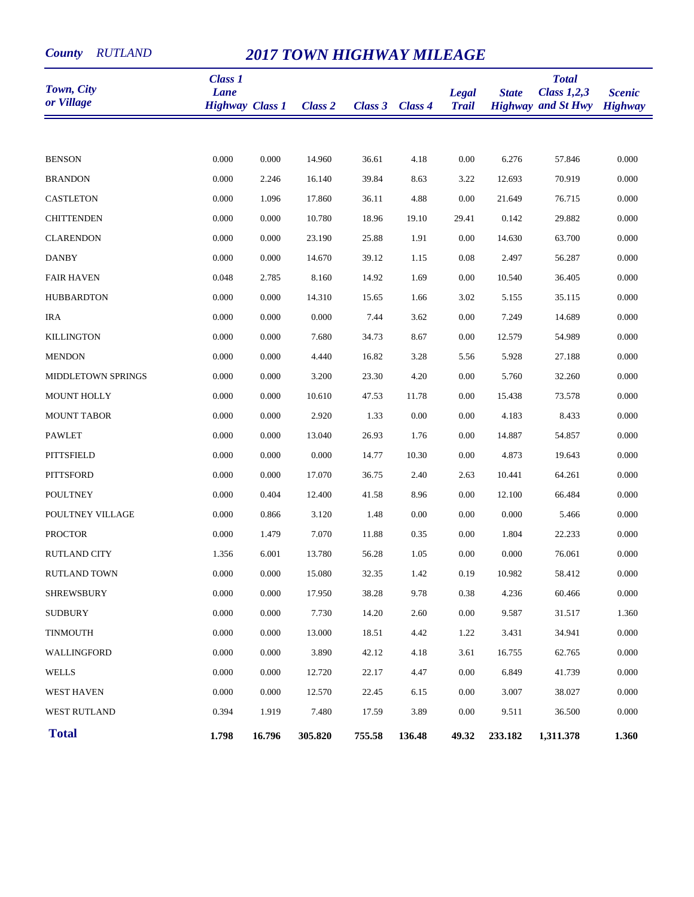### *County RUTLAND*

| Town, City                | <b>Class 1</b><br><b>Lane</b> |        |         |         |         | <b>Legal</b> | <b>State</b> | <b>Total</b><br>Class $1,2,3$ | <b>Scenic</b>  |
|---------------------------|-------------------------------|--------|---------|---------|---------|--------------|--------------|-------------------------------|----------------|
| or Village                | <b>Highway Class 1</b>        |        | Class 2 | Class 3 | Class 4 | <b>Trail</b> |              | <b>Highway</b> and St Hwy     | <b>Highway</b> |
|                           |                               |        |         |         |         |              |              |                               |                |
| <b>BENSON</b>             | 0.000                         | 0.000  | 14.960  | 36.61   | 4.18    | 0.00         | 6.276        | 57.846                        | 0.000          |
| <b>BRANDON</b>            | 0.000                         | 2.246  | 16.140  | 39.84   | 8.63    | 3.22         | 12.693       | 70.919                        | 0.000          |
| <b>CASTLETON</b>          | 0.000                         | 1.096  | 17.860  | 36.11   | 4.88    | 0.00         | 21.649       | 76.715                        | 0.000          |
| <b>CHITTENDEN</b>         | 0.000                         | 0.000  | 10.780  | 18.96   | 19.10   | 29.41        | 0.142        | 29.882                        | 0.000          |
| <b>CLARENDON</b>          | 0.000                         | 0.000  | 23.190  | 25.88   | 1.91    | 0.00         | 14.630       | 63.700                        | 0.000          |
| <b>DANBY</b>              | 0.000                         | 0.000  | 14.670  | 39.12   | 1.15    | 0.08         | 2.497        | 56.287                        | 0.000          |
| <b>FAIR HAVEN</b>         | 0.048                         | 2.785  | 8.160   | 14.92   | 1.69    | 0.00         | 10.540       | 36.405                        | 0.000          |
| <b>HUBBARDTON</b>         | 0.000                         | 0.000  | 14.310  | 15.65   | 1.66    | 3.02         | 5.155        | 35.115                        | 0.000          |
| <b>IRA</b>                | 0.000                         | 0.000  | 0.000   | 7.44    | 3.62    | 0.00         | 7.249        | 14.689                        | 0.000          |
| <b>KILLINGTON</b>         | 0.000                         | 0.000  | 7.680   | 34.73   | 8.67    | 0.00         | 12.579       | 54.989                        | 0.000          |
| <b>MENDON</b>             | 0.000                         | 0.000  | 4.440   | 16.82   | 3.28    | 5.56         | 5.928        | 27.188                        | 0.000          |
| <b>MIDDLETOWN SPRINGS</b> | 0.000                         | 0.000  | 3.200   | 23.30   | 4.20    | 0.00         | 5.760        | 32.260                        | 0.000          |
| MOUNT HOLLY               | 0.000                         | 0.000  | 10.610  | 47.53   | 11.78   | 0.00         | 15.438       | 73.578                        | 0.000          |
| <b>MOUNT TABOR</b>        | 0.000                         | 0.000  | 2.920   | 1.33    | 0.00    | 0.00         | 4.183        | 8.433                         | 0.000          |
| <b>PAWLET</b>             | 0.000                         | 0.000  | 13.040  | 26.93   | 1.76    | 0.00         | 14.887       | 54.857                        | 0.000          |
| <b>PITTSFIELD</b>         | 0.000                         | 0.000  | 0.000   | 14.77   | 10.30   | 0.00         | 4.873        | 19.643                        | 0.000          |
| <b>PITTSFORD</b>          | 0.000                         | 0.000  | 17.070  | 36.75   | 2.40    | 2.63         | 10.441       | 64.261                        | 0.000          |
| <b>POULTNEY</b>           | 0.000                         | 0.404  | 12.400  | 41.58   | 8.96    | 0.00         | 12.100       | 66.484                        | 0.000          |
| POULTNEY VILLAGE          | 0.000                         | 0.866  | 3.120   | 1.48    | 0.00    | 0.00         | 0.000        | 5.466                         | 0.000          |
| <b>PROCTOR</b>            | 0.000                         | 1.479  | 7.070   | 11.88   | 0.35    | 0.00         | 1.804        | 22.233                        | 0.000          |
| <b>RUTLAND CITY</b>       | 1.356                         | 6.001  | 13.780  | 56.28   | 1.05    | 0.00         | 0.000        | 76.061                        | 0.000          |
| RUTLAND TOWN              | 0.000                         | 0.000  | 15.080  | 32.35   | 1.42    | 0.19         | 10.982       | 58.412                        | 0.000          |
| <b>SHREWSBURY</b>         | 0.000                         | 0.000  | 17.950  | 38.28   | 9.78    | 0.38         | 4.236        | 60.466                        | 0.000          |
| <b>SUDBURY</b>            | 0.000                         | 0.000  | 7.730   | 14.20   | 2.60    | 0.00         | 9.587        | 31.517                        | 1.360          |
| TINMOUTH                  | 0.000                         | 0.000  | 13.000  | 18.51   | 4.42    | 1.22         | 3.431        | 34.941                        | 0.000          |
| WALLINGFORD               | 0.000                         | 0.000  | 3.890   | 42.12   | 4.18    | 3.61         | 16.755       | 62.765                        | 0.000          |
| WELLS                     | 0.000                         | 0.000  | 12.720  | 22.17   | 4.47    | 0.00         | 6.849        | 41.739                        | 0.000          |
| <b>WEST HAVEN</b>         | 0.000                         | 0.000  | 12.570  | 22.45   | 6.15    | 0.00         | 3.007        | 38.027                        | 0.000          |
| <b>WEST RUTLAND</b>       | 0.394                         | 1.919  | 7.480   | 17.59   | 3.89    | 0.00         | 9.511        | 36.500                        | 0.000          |
| <b>Total</b>              | 1.798                         | 16.796 | 305.820 | 755.58  | 136.48  | 49.32        | 233.182      | 1,311.378                     | 1.360          |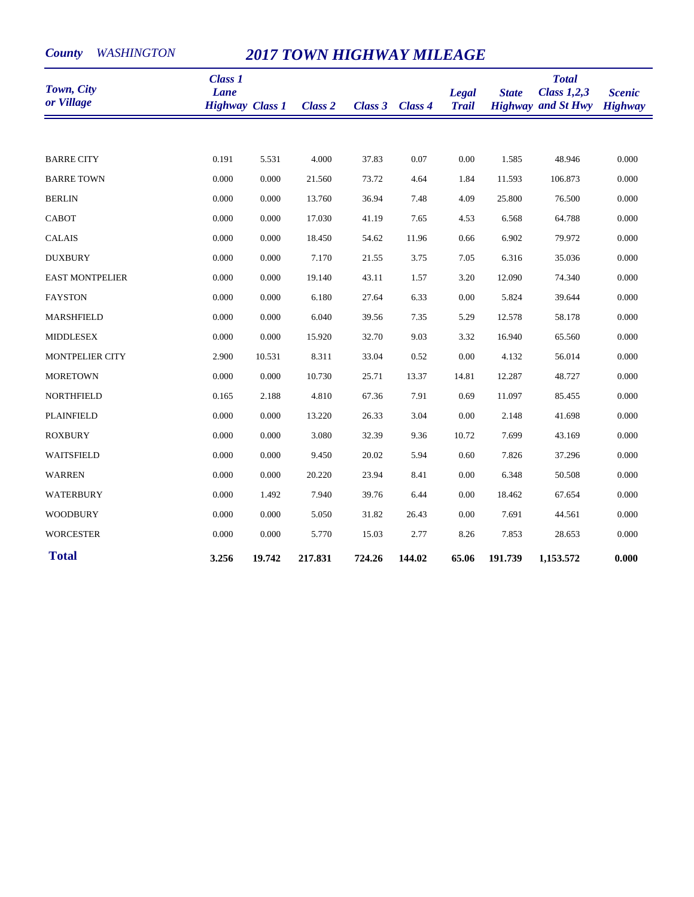### *County WASHINGTON*

| Town, City<br>or Village | <b>Class 1</b><br><b>Lane</b><br><b>Highway Class 1</b> |        |                |         | Class 4  | <b>Legal</b><br><b>Trail</b> | <b>State</b> | <b>Total</b><br><b>Class 1,2,3</b><br><b>Highway</b> and St Hwy | <b>Scenic</b><br><b>Highway</b> |
|--------------------------|---------------------------------------------------------|--------|----------------|---------|----------|------------------------------|--------------|-----------------------------------------------------------------|---------------------------------|
|                          |                                                         |        | <b>Class 2</b> | Class 3 |          |                              |              |                                                                 |                                 |
|                          |                                                         |        |                |         |          |                              |              |                                                                 |                                 |
| <b>BARRE CITY</b>        | 0.191                                                   | 5.531  | 4.000          | 37.83   | $0.07\,$ | $0.00\,$                     | 1.585        | 48.946                                                          | 0.000                           |
| <b>BARRETOWN</b>         | 0.000                                                   | 0.000  | 21.560         | 73.72   | 4.64     | 1.84                         | 11.593       | 106.873                                                         | 0.000                           |
| <b>BERLIN</b>            | 0.000                                                   | 0.000  | 13.760         | 36.94   | 7.48     | 4.09                         | 25.800       | 76.500                                                          | 0.000                           |
| <b>CABOT</b>             | 0.000                                                   | 0.000  | 17.030         | 41.19   | 7.65     | 4.53                         | 6.568        | 64.788                                                          | 0.000                           |
| <b>CALAIS</b>            | 0.000                                                   | 0.000  | 18.450         | 54.62   | 11.96    | 0.66                         | 6.902        | 79.972                                                          | 0.000                           |
| <b>DUXBURY</b>           | 0.000                                                   | 0.000  | 7.170          | 21.55   | 3.75     | 7.05                         | 6.316        | 35.036                                                          | 0.000                           |
| <b>EAST MONTPELIER</b>   | 0.000                                                   | 0.000  | 19.140         | 43.11   | 1.57     | 3.20                         | 12.090       | 74.340                                                          | 0.000                           |
| <b>FAYSTON</b>           | 0.000                                                   | 0.000  | 6.180          | 27.64   | 6.33     | 0.00                         | 5.824        | 39.644                                                          | 0.000                           |
| <b>MARSHFIELD</b>        | 0.000                                                   | 0.000  | 6.040          | 39.56   | 7.35     | 5.29                         | 12.578       | 58.178                                                          | 0.000                           |
| <b>MIDDLESEX</b>         | 0.000                                                   | 0.000  | 15.920         | 32.70   | 9.03     | 3.32                         | 16.940       | 65.560                                                          | 0.000                           |
| MONTPELIER CITY          | 2.900                                                   | 10.531 | 8.311          | 33.04   | 0.52     | 0.00                         | 4.132        | 56.014                                                          | 0.000                           |
| <b>MORETOWN</b>          | 0.000                                                   | 0.000  | 10.730         | 25.71   | 13.37    | 14.81                        | 12.287       | 48.727                                                          | 0.000                           |
| <b>NORTHFIELD</b>        | 0.165                                                   | 2.188  | 4.810          | 67.36   | 7.91     | 0.69                         | 11.097       | 85.455                                                          | 0.000                           |
| <b>PLAINFIELD</b>        | 0.000                                                   | 0.000  | 13.220         | 26.33   | 3.04     | 0.00                         | 2.148        | 41.698                                                          | 0.000                           |
| <b>ROXBURY</b>           | 0.000                                                   | 0.000  | 3.080          | 32.39   | 9.36     | 10.72                        | 7.699        | 43.169                                                          | 0.000                           |
| <b>WAITSFIELD</b>        | 0.000                                                   | 0.000  | 9.450          | 20.02   | 5.94     | 0.60                         | 7.826        | 37.296                                                          | 0.000                           |
| <b>WARREN</b>            | 0.000                                                   | 0.000  | 20.220         | 23.94   | 8.41     | 0.00                         | 6.348        | 50.508                                                          | 0.000                           |
| WATERBURY                | 0.000                                                   | 1.492  | 7.940          | 39.76   | 6.44     | 0.00                         | 18.462       | 67.654                                                          | 0.000                           |
| <b>WOODBURY</b>          | 0.000                                                   | 0.000  | 5.050          | 31.82   | 26.43    | 0.00                         | 7.691        | 44.561                                                          | 0.000                           |
| <b>WORCESTER</b>         | 0.000                                                   | 0.000  | 5.770          | 15.03   | 2.77     | 8.26                         | 7.853        | 28.653                                                          | 0.000                           |
| <b>Total</b>             | 3.256                                                   | 19.742 | 217.831        | 724.26  | 144.02   | 65.06                        | 191.739      | 1,153.572                                                       | 0.000                           |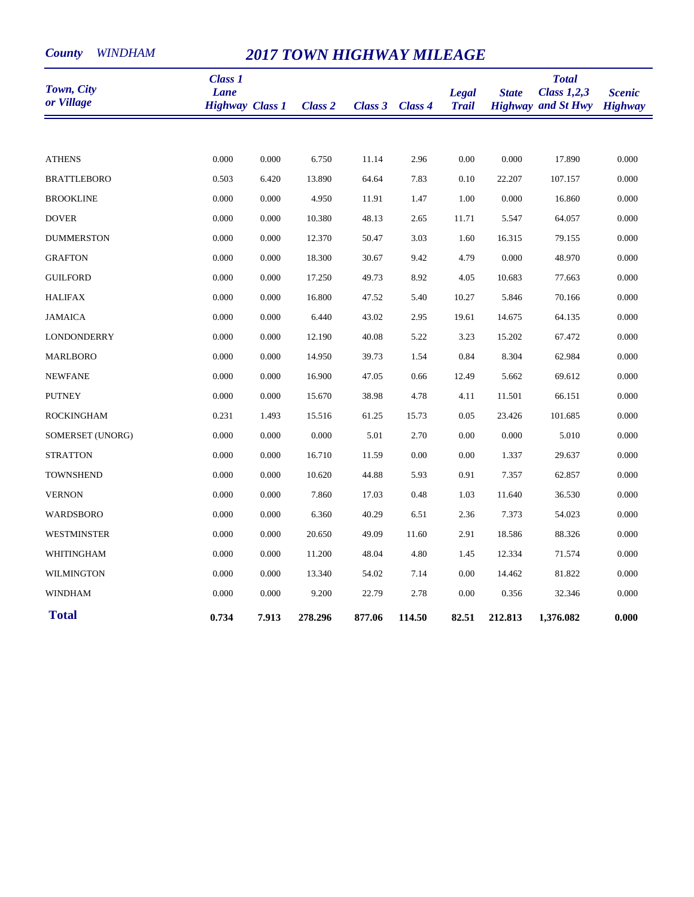### *County WINDHAM*

| Town, City         | <b>Class 1</b><br><b>Lane</b> |       |         |         |         | <b>Legal</b> | <b>State</b> | <b>Total</b><br>Class $1,2,3$ | <b>Scenic</b> |
|--------------------|-------------------------------|-------|---------|---------|---------|--------------|--------------|-------------------------------|---------------|
| or Village         | <b>Highway Class 1</b>        |       | Class 2 | Class 3 | Class 4 | <b>Trail</b> |              | <b>Highway</b> and St Hwy     | Highway       |
|                    |                               |       |         |         |         |              |              |                               |               |
| <b>ATHENS</b>      | 0.000                         | 0.000 | 6.750   | 11.14   | 2.96    | 0.00         | 0.000        | 17.890                        | 0.000         |
| <b>BRATTLEBORO</b> | 0.503                         | 6.420 | 13.890  | 64.64   | 7.83    | 0.10         | 22.207       | 107.157                       | 0.000         |
| <b>BROOKLINE</b>   | 0.000                         | 0.000 | 4.950   | 11.91   | 1.47    | 1.00         | 0.000        | 16.860                        | 0.000         |
| <b>DOVER</b>       | 0.000                         | 0.000 | 10.380  | 48.13   | 2.65    | 11.71        | 5.547        | 64.057                        | 0.000         |
| <b>DUMMERSTON</b>  | 0.000                         | 0.000 | 12.370  | 50.47   | 3.03    | 1.60         | 16.315       | 79.155                        | 0.000         |
| <b>GRAFTON</b>     | 0.000                         | 0.000 | 18.300  | 30.67   | 9.42    | 4.79         | 0.000        | 48.970                        | 0.000         |
| <b>GUILFORD</b>    | 0.000                         | 0.000 | 17.250  | 49.73   | 8.92    | 4.05         | 10.683       | 77.663                        | 0.000         |
| <b>HALIFAX</b>     | 0.000                         | 0.000 | 16.800  | 47.52   | 5.40    | 10.27        | 5.846        | 70.166                        | 0.000         |
| <b>JAMAICA</b>     | 0.000                         | 0.000 | 6.440   | 43.02   | 2.95    | 19.61        | 14.675       | 64.135                        | 0.000         |
| <b>LONDONDERRY</b> | 0.000                         | 0.000 | 12.190  | 40.08   | 5.22    | 3.23         | 15.202       | 67.472                        | 0.000         |
| <b>MARLBORO</b>    | 0.000                         | 0.000 | 14.950  | 39.73   | 1.54    | 0.84         | 8.304        | 62.984                        | 0.000         |
| <b>NEWFANE</b>     | 0.000                         | 0.000 | 16.900  | 47.05   | 0.66    | 12.49        | 5.662        | 69.612                        | 0.000         |
| <b>PUTNEY</b>      | 0.000                         | 0.000 | 15.670  | 38.98   | 4.78    | 4.11         | 11.501       | 66.151                        | 0.000         |
| <b>ROCKINGHAM</b>  | 0.231                         | 1.493 | 15.516  | 61.25   | 15.73   | 0.05         | 23.426       | 101.685                       | 0.000         |
| SOMERSET (UNORG)   | 0.000                         | 0.000 | 0.000   | 5.01    | 2.70    | 0.00         | 0.000        | 5.010                         | 0.000         |
| <b>STRATTON</b>    | 0.000                         | 0.000 | 16.710  | 11.59   | 0.00    | 0.00         | 1.337        | 29.637                        | 0.000         |
| <b>TOWNSHEND</b>   | 0.000                         | 0.000 | 10.620  | 44.88   | 5.93    | 0.91         | 7.357        | 62.857                        | 0.000         |
| <b>VERNON</b>      | 0.000                         | 0.000 | 7.860   | 17.03   | 0.48    | 1.03         | 11.640       | 36.530                        | 0.000         |
| WARDSBORO          | 0.000                         | 0.000 | 6.360   | 40.29   | 6.51    | 2.36         | 7.373        | 54.023                        | 0.000         |
| WESTMINSTER        | 0.000                         | 0.000 | 20.650  | 49.09   | 11.60   | 2.91         | 18.586       | 88.326                        | 0.000         |
| WHITINGHAM         | 0.000                         | 0.000 | 11.200  | 48.04   | 4.80    | 1.45         | 12.334       | 71.574                        | 0.000         |
| <b>WILMINGTON</b>  | 0.000                         | 0.000 | 13.340  | 54.02   | 7.14    | 0.00         | 14.462       | 81.822                        | 0.000         |
| <b>WINDHAM</b>     | 0.000                         | 0.000 | 9.200   | 22.79   | 2.78    | 0.00         | 0.356        | 32.346                        | 0.000         |
| <b>Total</b>       | 0.734                         | 7.913 | 278.296 | 877.06  | 114.50  | 82.51        | 212.813      | 1,376.082                     | 0.000         |